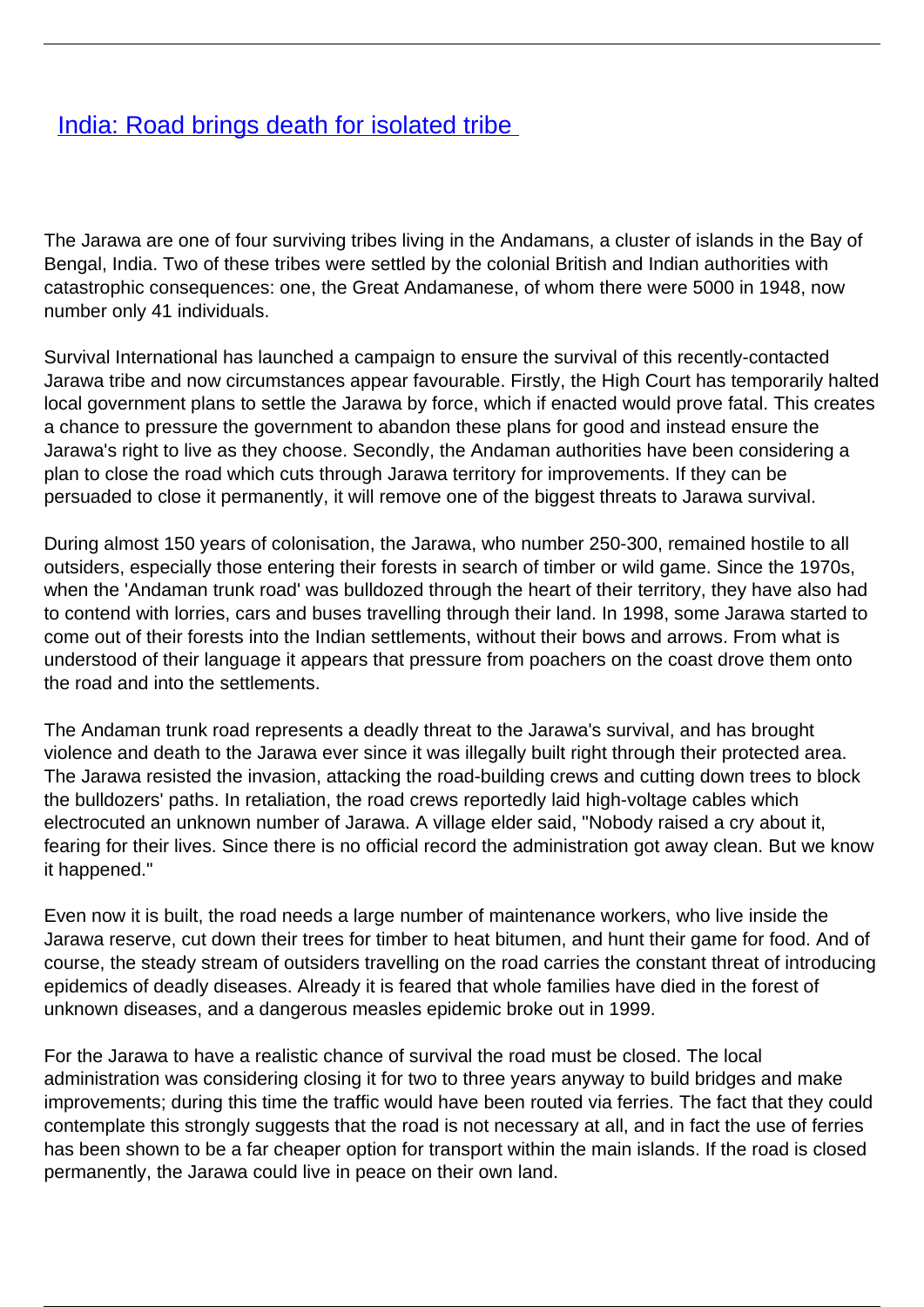## **[India: Road brings death for isolated tribe](/bulletin-articles/india-road-brings-death-for-isolated-tribe)**

The Jarawa are one of four surviving tribes living in the Andamans, a cluster of islands in the Bay of Bengal, India. Two of these tribes were settled by the colonial British and Indian authorities with catastrophic consequences: one, the Great Andamanese, of whom there were 5000 in 1948, now number only 41 individuals.

Survival International has launched a campaign to ensure the survival of this recently-contacted Jarawa tribe and now circumstances appear favourable. Firstly, the High Court has temporarily halted local government plans to settle the Jarawa by force, which if enacted would prove fatal. This creates a chance to pressure the government to abandon these plans for good and instead ensure the Jarawa's right to live as they choose. Secondly, the Andaman authorities have been considering a plan to close the road which cuts through Jarawa territory for improvements. If they can be persuaded to close it permanently, it will remove one of the biggest threats to Jarawa survival.

During almost 150 years of colonisation, the Jarawa, who number 250-300, remained hostile to all outsiders, especially those entering their forests in search of timber or wild game. Since the 1970s, when the 'Andaman trunk road' was bulldozed through the heart of their territory, they have also had to contend with lorries, cars and buses travelling through their land. In 1998, some Jarawa started to come out of their forests into the Indian settlements, without their bows and arrows. From what is understood of their language it appears that pressure from poachers on the coast drove them onto the road and into the settlements.

The Andaman trunk road represents a deadly threat to the Jarawa's survival, and has brought violence and death to the Jarawa ever since it was illegally built right through their protected area. The Jarawa resisted the invasion, attacking the road-building crews and cutting down trees to block the bulldozers' paths. In retaliation, the road crews reportedly laid high-voltage cables which electrocuted an unknown number of Jarawa. A village elder said, "Nobody raised a cry about it, fearing for their lives. Since there is no official record the administration got away clean. But we know it happened."

Even now it is built, the road needs a large number of maintenance workers, who live inside the Jarawa reserve, cut down their trees for timber to heat bitumen, and hunt their game for food. And of course, the steady stream of outsiders travelling on the road carries the constant threat of introducing epidemics of deadly diseases. Already it is feared that whole families have died in the forest of unknown diseases, and a dangerous measles epidemic broke out in 1999.

For the Jarawa to have a realistic chance of survival the road must be closed. The local administration was considering closing it for two to three years anyway to build bridges and make improvements; during this time the traffic would have been routed via ferries. The fact that they could contemplate this strongly suggests that the road is not necessary at all, and in fact the use of ferries has been shown to be a far cheaper option for transport within the main islands. If the road is closed permanently, the Jarawa could live in peace on their own land.